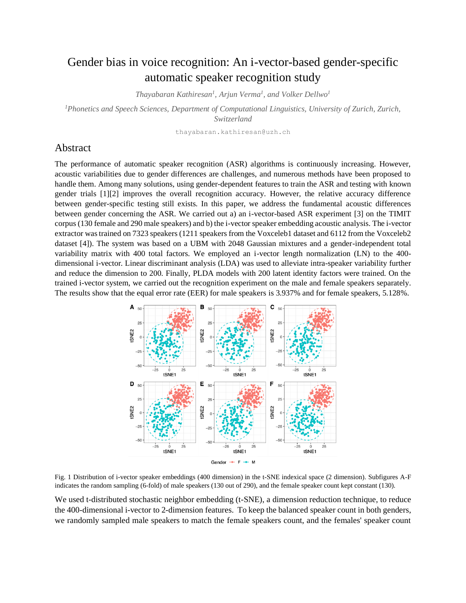## Gender bias in voice recognition: An i-vector-based gender-specific automatic speaker recognition study

*Thayabaran Kathiresan<sup>1</sup> , Arjun Verma 1 , and Volker Dellwo<sup>1</sup>*

*<sup>1</sup>Phonetics and Speech Sciences, Department of Computational Linguistics, University of Zurich, Zurich, Switzerland*

thayabaran.kathiresan@uzh.ch

## Abstract

The performance of automatic speaker recognition (ASR) algorithms is continuously increasing. However, acoustic variabilities due to gender differences are challenges, and numerous methods have been proposed to handle them. Among many solutions, using gender-dependent features to train the ASR and testing with known gender trials [1][2] improves the overall recognition accuracy. However, the relative accuracy difference between gender-specific testing still exists. In this paper, we address the fundamental acoustic differences between gender concerning the ASR. We carried out a) an i-vector-based ASR experiment [3] on the TIMIT corpus (130 female and 290 male speakers) and b) the i-vector speaker embedding acoustic analysis. The i-vector extractor was trained on 7323 speakers (1211 speakers from the Voxceleb1 dataset and 6112 from the Voxceleb2 dataset [4]). The system was based on a UBM with 2048 Gaussian mixtures and a gender-independent total variability matrix with 400 total factors. We employed an i-vector length normalization (LN) to the 400 dimensional i-vector. Linear discriminant analysis (LDA) was used to alleviate intra-speaker variability further and reduce the dimension to 200. Finally, PLDA models with 200 latent identity factors were trained. On the trained i-vector system, we carried out the recognition experiment on the male and female speakers separately. The results show that the equal error rate (EER) for male speakers is 3.937% and for female speakers, 5.128%.



Fig. 1 Distribution of i-vector speaker embeddings (400 dimension) in the t-SNE indexical space (2 dimension). Subfigures A-F indicates the random sampling (6-fold) of male speakers (130 out of 290), and the female speaker count kept constant (130).

We used t-distributed stochastic neighbor embedding (t-SNE), a dimension reduction technique, to reduce the 400-dimensional i-vector to 2-dimension features. To keep the balanced speaker count in both genders, we randomly sampled male speakers to match the female speakers count, and the females' speaker count